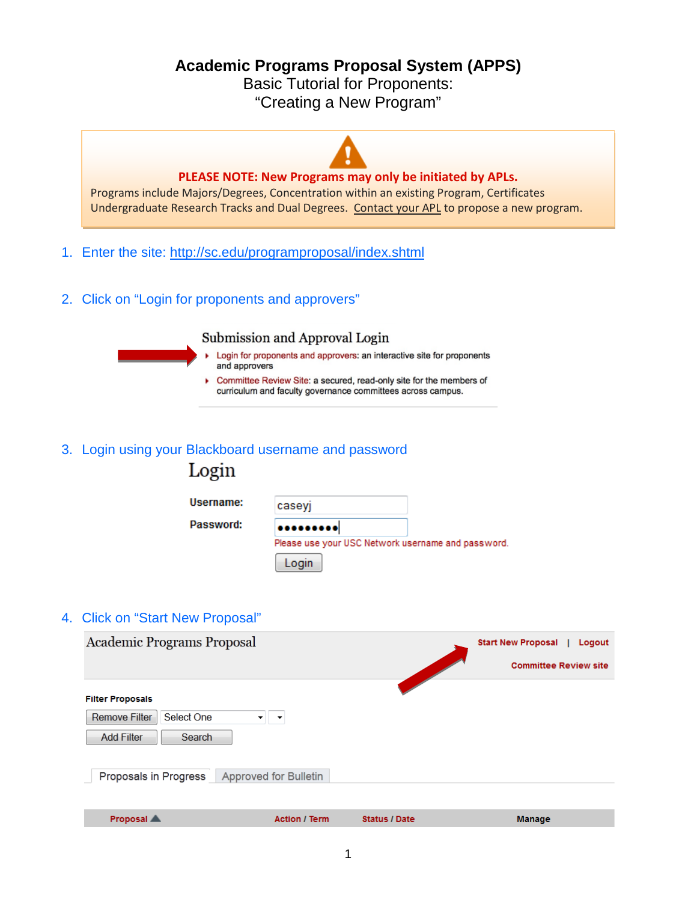**Academic Programs Proposal System (APPS)**

Basic Tutorial for Proponents: "Creating a New Program"



2. Click on "Login for proponents and approvers"

# Submission and Approval Login

- Login for proponents and approvers: an interactive site for proponents and approvers
- Committee Review Site: a secured, read-only site for the members of curriculum and faculty governance committees across campus.

# 3. Login using your Blackboard username and password

| Login     |                                                   |  |
|-----------|---------------------------------------------------|--|
| Username: | caseyj                                            |  |
| Password: |                                                   |  |
|           | Please use your USC Network username and password |  |
|           | Login                                             |  |

## 4. Click on "Start New Proposal"

| Academic Programs Proposal         |                       |                      | <b>Start New Proposal</b><br>Logout |
|------------------------------------|-----------------------|----------------------|-------------------------------------|
|                                    |                       |                      | <b>Committee Review site</b>        |
| <b>Filter Proposals</b>            |                       |                      |                                     |
| <b>Remove Filter</b><br>Select One | ▼                     |                      |                                     |
| <b>Add Filter</b><br><b>Search</b> |                       |                      |                                     |
| Proposals in Progress              | Approved for Bulletin |                      |                                     |
|                                    |                       |                      |                                     |
| Proposal A                         | <b>Action / Term</b>  | <b>Status / Date</b> | <b>Manage</b>                       |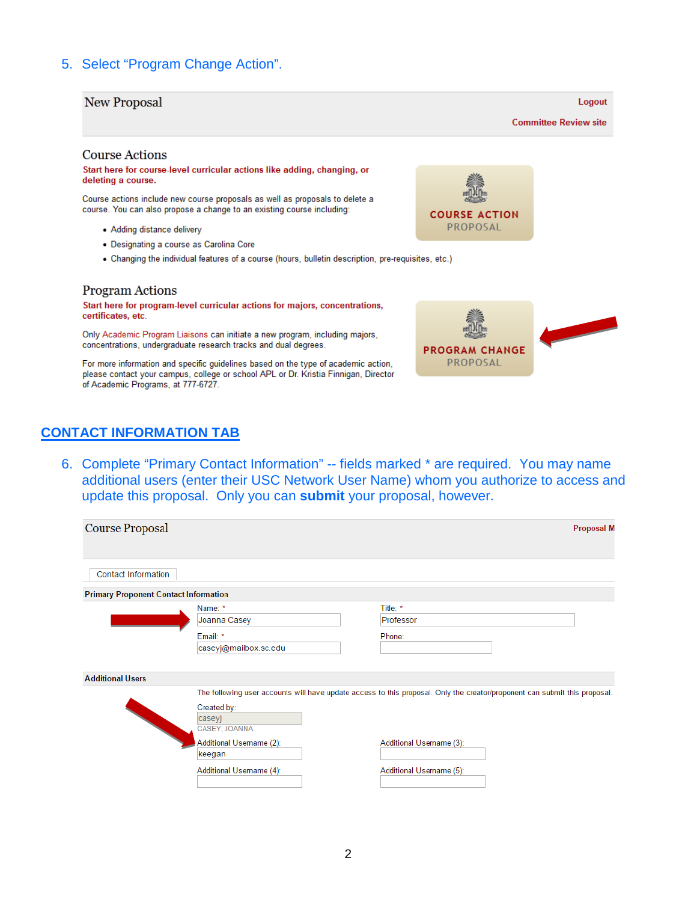# 5. Select "Program Change Action".

### **New Proposal**

**Committee Review site** 

Logout

#### **Course Actions**

Start here for course-level curricular actions like adding, changing, or deleting a course.

Course actions include new course proposals as well as proposals to delete a course. You can also propose a change to an existing course including:

- Adding distance delivery
- · Designating a course as Carolina Core
- . Changing the individual features of a course (hours, bulletin description, pre-requisites, etc.)

#### **Program Actions**

Start here for program-level curricular actions for majors, concentrations, certificates, etc.

Only Academic Program Liaisons can initiate a new program, including majors, concentrations, undergraduate research tracks and dual degrees.

For more information and specific guidelines based on the type of academic action, please contact your campus, college or school APL or Dr. Kristia Finnigan, Director of Academic Programs, at 777-6727.

## **CONTACT INFORMATION TAB**

6. Complete "Primary Contact Information" -- fields marked \* are required. You may name additional users (enter their USC Network User Name) whom you authorize to access and update this proposal. Only you can **submit** your proposal, however.

| Course Proposal                              |                          |                                                                                                                            | <b>Proposal M</b> |
|----------------------------------------------|--------------------------|----------------------------------------------------------------------------------------------------------------------------|-------------------|
|                                              |                          |                                                                                                                            |                   |
| <b>Contact Information</b>                   |                          |                                                                                                                            |                   |
| <b>Primary Proponent Contact Information</b> |                          |                                                                                                                            |                   |
|                                              | Name: *                  | Title: *                                                                                                                   |                   |
|                                              | Joanna Casey             | Professor                                                                                                                  |                   |
|                                              | Email: *                 | Phone:                                                                                                                     |                   |
|                                              | caseyj@mailbox.sc.edu    |                                                                                                                            |                   |
|                                              |                          |                                                                                                                            |                   |
| <b>Additional Users</b>                      |                          |                                                                                                                            |                   |
|                                              |                          | The following user accounts will have update access to this proposal. Only the creator/proponent can submit this proposal. |                   |
|                                              | Created by:              |                                                                                                                            |                   |
|                                              | caseyj                   |                                                                                                                            |                   |
|                                              | CASEY, JOANNA            |                                                                                                                            |                   |
|                                              | Additional Username (2): | Additional Username (3):                                                                                                   |                   |
|                                              | keegan                   |                                                                                                                            |                   |
|                                              | Additional Username (4): | Additional Username (5):                                                                                                   |                   |
|                                              |                          |                                                                                                                            |                   |



**PROGRAM CHANGE** PROPOSAL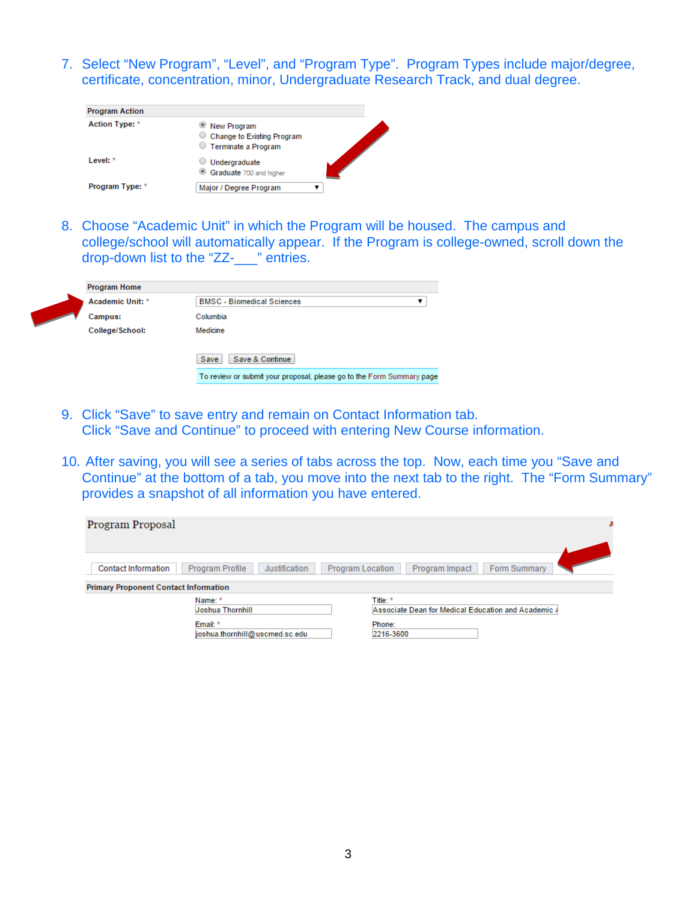7. Select "New Program", "Level", and "Program Type". Program Types include major/degree, certificate, concentration, minor, Undergraduate Research Track, and dual degree.

| <b>Program Action</b> |                                                                    |  |
|-----------------------|--------------------------------------------------------------------|--|
| Action Type: *        | New Program<br>Change to Existing Program<br>◯ Terminate a Program |  |
| Level: *              | Undergraduate<br>Graduate 700 and higher<br>$\circledcirc$         |  |
| Program Type: *       | Major / Degree Program                                             |  |

8. Choose "Academic Unit" in which the Program will be housed. The campus and college/school will automatically appear. If the Program is college-owned, scroll down the drop-down list to the "ZZ-\_\_\_" entries.

| <b>Program Home</b> |                                                                       |  |  |
|---------------------|-----------------------------------------------------------------------|--|--|
| Academic Unit: *    | <b>BMSC</b> - Biomedical Sciences                                     |  |  |
| Campus:             | Columbia                                                              |  |  |
| College/School:     | Medicine                                                              |  |  |
|                     | Save & Continue<br>Save                                               |  |  |
|                     | To review or submit your proposal, please go to the Form Summary page |  |  |

- 9. Click "Save" to save entry and remain on Contact Information tab. Click "Save and Continue" to proceed with entering New Course information.
- 10. After saving, you will see a series of tabs across the top. Now, each time you "Save and Continue" at the bottom of a tab, you move into the next tab to the right. The "Form Summary" provides a snapshot of all information you have entered.

| Program Proposal                             | Α                                                   |
|----------------------------------------------|-----------------------------------------------------|
| <b>Contact Information</b>                   | Form Summary                                        |
| Program Profile                              | Program Impact                                      |
| Justification                                | <b>Program Location</b>                             |
| <b>Primary Proponent Contact Information</b> |                                                     |
| Name: *                                      | Title: *                                            |
| <b>Joshua Thornhill</b>                      | Associate Dean for Medical Education and Academic A |
| Email: *                                     | Phone:                                              |
| joshua.thornhill@uscmed.sc.edu               | 2216-3600                                           |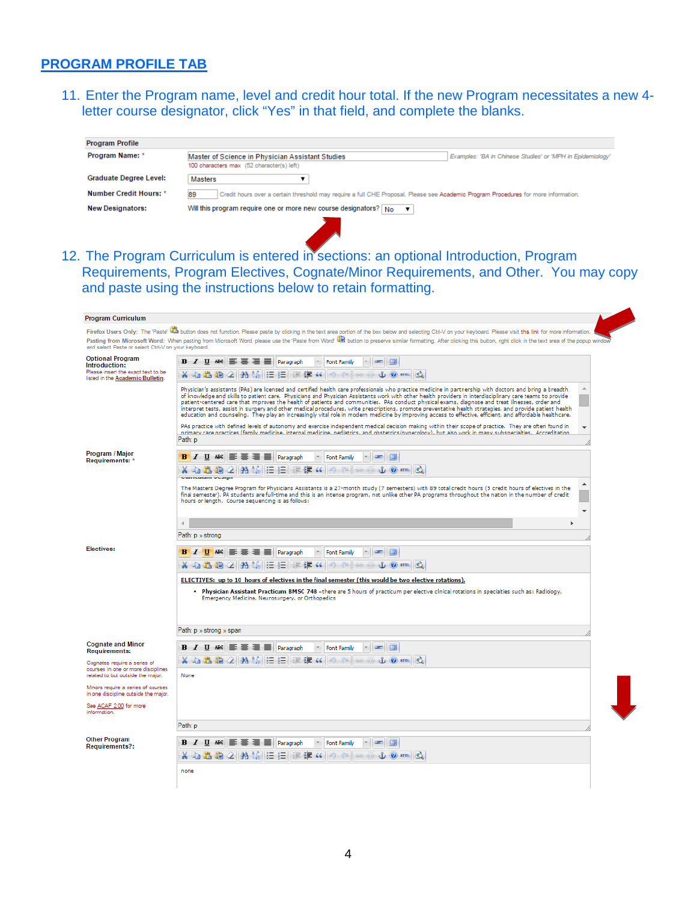# **PROGRAM PROFILE TAB**

11. Enter the Program name, level and credit hour total. If the new Program necessitates a new 4 letter course designator, click "Yes" in that field, and complete the blanks.

| <b>Program Profile</b>        |                                                                                                                                                             |
|-------------------------------|-------------------------------------------------------------------------------------------------------------------------------------------------------------|
| Program Name: *               | Master of Science in Physician Assistant Studies<br>Examples: 'BA in Chinese Studies' or 'MPH in Epidemiology'<br>100 characters max (52 character(s) left) |
| <b>Graduate Degree Level:</b> | <b>Masters</b>                                                                                                                                              |
| <b>Number Credit Hours: *</b> | 89<br>Credit hours over a certain threshold may require a full CHE Proposal. Please see Academic Program Procedures for more information.                   |
| <b>New Designators:</b>       | Will this program require one or more new course designators? $\vert$ No $\vert$ $\vert$                                                                    |
|                               |                                                                                                                                                             |

12. The Program Curriculum is entered in sections: an optional Introduction, Program Requirements, Program Electives, Cognate/Minor Requirements, and Other. You may copy and paste using the instructions below to retain formatting.

| <b>Program Curriculum</b>                                                                                          |                                                                                                                                                                                                                                                                                                                                                                                                                                                                                                                                                                                                                                                                                                                                                                                                 |
|--------------------------------------------------------------------------------------------------------------------|-------------------------------------------------------------------------------------------------------------------------------------------------------------------------------------------------------------------------------------------------------------------------------------------------------------------------------------------------------------------------------------------------------------------------------------------------------------------------------------------------------------------------------------------------------------------------------------------------------------------------------------------------------------------------------------------------------------------------------------------------------------------------------------------------|
| and select Paste or select Ctrl-V on your keyboard.                                                                | Firefox Users Only: The 'Paste' La button does not function. Please paste by clicking in the text area portion of the box below and selecting Ctrl-V on your keyboard. Please visit this link for more information.<br>Pasting from Microsoft Word: When pasting from Microsoft Word, please use the 'Paste from Word La button to preserve similar formatting. After clicking this button, right click in the text area of the popup window                                                                                                                                                                                                                                                                                                                                                    |
| <b>Optional Program</b><br>Introduction:<br>Please insert the exact text to be<br>listed in the Academic Bulletin. | <b>B</b> $I$ U ABC $\equiv \equiv \equiv \equiv$ Paragraph<br>$\sim$ $\blacksquare$<br><b>Font Family</b><br>X 电遇响 2   A 1 14   H   H   H   H   H   K  <br>$\mathcal{C}$ of $\mathcal{C}$ arms<br>$12 - 64$<br>$-22 - 65$                                                                                                                                                                                                                                                                                                                                                                                                                                                                                                                                                                       |
|                                                                                                                    | Physician's assistants (PAs) are licensed and certified health care professionals who practice medicine in partnership with doctors and bring a breadth<br>of knowledge and skills to patient care. Physicians and Physician Assistants work with other health providers in interdisciplinary care teams to provide<br>patient-centered care that improves the health of patients and communities. PAs conduct physical exams, diagnose and treat illnesses, order and<br>interpret tests, assist in surgery and other medical procedures, write prescriptions, promote preventative health strategies, and provide patient health<br>education and counseling. They play an increasingly vital role in modern medicine by improving access to effective, efficient, and affordable healthcare. |
|                                                                                                                    | PAs practice with defined levels of autonomy and exercise independent medical decision making within their scope of practice. They are often found in<br>primary care practices (family medicine, internal medicine, pediatrics, and obstetrics/gyperology), but also work in many subspecialties. Accreditation,<br>Path: p                                                                                                                                                                                                                                                                                                                                                                                                                                                                    |
| Program / Major<br>Requirements: *                                                                                 | $U$ $A B C$<br>Paragraph<br><b>Font Family</b>                                                                                                                                                                                                                                                                                                                                                                                                                                                                                                                                                                                                                                                                                                                                                  |
|                                                                                                                    | $17 - 11 - 60$<br>U Q HTML<br>-66<br><b>Let us</b><br><b>Live</b>                                                                                                                                                                                                                                                                                                                                                                                                                                                                                                                                                                                                                                                                                                                               |
|                                                                                                                    | The Masters Degree Program for Physicians Assistants is a 27-month study (7 semesters) with 89 total credit hours (5 credit hours of electives in the<br>final semester). PA students are full-time and this is an intense program, not unlike other PA programs throughout the nation in the number of credit<br>hours or length. Course sequencing is as follows:                                                                                                                                                                                                                                                                                                                                                                                                                             |
|                                                                                                                    | $\overline{4}$                                                                                                                                                                                                                                                                                                                                                                                                                                                                                                                                                                                                                                                                                                                                                                                  |
|                                                                                                                    | Path: p » strong                                                                                                                                                                                                                                                                                                                                                                                                                                                                                                                                                                                                                                                                                                                                                                                |
| Electives:                                                                                                         | 三三<br>圖<br><b>B</b> <i>I</i> U ABC<br><b>E</b>   Paragraph<br><b>Font Family</b><br>$\sim$<br>X 43.43.46 42 1 24 36 1 36 1 37 1<br>法<br>$x^{2} - 67$<br>۹Ŀ<br>(C) HTML<br>讲                                                                                                                                                                                                                                                                                                                                                                                                                                                                                                                                                                                                                     |
|                                                                                                                    | ELECTIVES: up to 10 hours of electives in the final semester (this would be two elective rotations).<br>. Physician Assistant Practicum BMSC 748 -there are 5 hours of practicum per elective clinical rotations in specialties such as: Radiology,<br>Emergency Medicine, Neurosurgery, or Orthopedics                                                                                                                                                                                                                                                                                                                                                                                                                                                                                         |
|                                                                                                                    | Path: p » strong » span                                                                                                                                                                                                                                                                                                                                                                                                                                                                                                                                                                                                                                                                                                                                                                         |
| <b>Cognate and Minor</b><br><b>Requirements:</b>                                                                   | <b>B</b> $I$ U ABC $\equiv \equiv \equiv \equiv$ Paragraph<br>□<br><b>Font Family</b><br>$\sim$                                                                                                                                                                                                                                                                                                                                                                                                                                                                                                                                                                                                                                                                                                 |
| Cognates require a series of<br>courses in one or more disciplines<br>related to but outside the major.            | <b>X 电选购 2 船然 三壬 年年 4</b><br>ப் பெள்ள பெ<br>$12)$ $21$ $30$ $60$<br>None                                                                                                                                                                                                                                                                                                                                                                                                                                                                                                                                                                                                                                                                                                                        |
| Minors require a series of courses<br>in one discipline outside the major.                                         |                                                                                                                                                                                                                                                                                                                                                                                                                                                                                                                                                                                                                                                                                                                                                                                                 |
| See ACAF 2.00 for more<br><i>information</i>                                                                       |                                                                                                                                                                                                                                                                                                                                                                                                                                                                                                                                                                                                                                                                                                                                                                                                 |
|                                                                                                                    | Path: p                                                                                                                                                                                                                                                                                                                                                                                                                                                                                                                                                                                                                                                                                                                                                                                         |
| <b>Other Program</b><br><b>Requirements?:</b>                                                                      | <b>B</b> <i>I</i> U ABC 三三三三四<br>$\sim$<br><b>Font Family</b><br>X电压的 2 船集 三日 在建 4 9 2 2 2 ※<br>$U(2)$ HTm. $2$                                                                                                                                                                                                                                                                                                                                                                                                                                                                                                                                                                                                                                                                                 |
|                                                                                                                    | none                                                                                                                                                                                                                                                                                                                                                                                                                                                                                                                                                                                                                                                                                                                                                                                            |
|                                                                                                                    |                                                                                                                                                                                                                                                                                                                                                                                                                                                                                                                                                                                                                                                                                                                                                                                                 |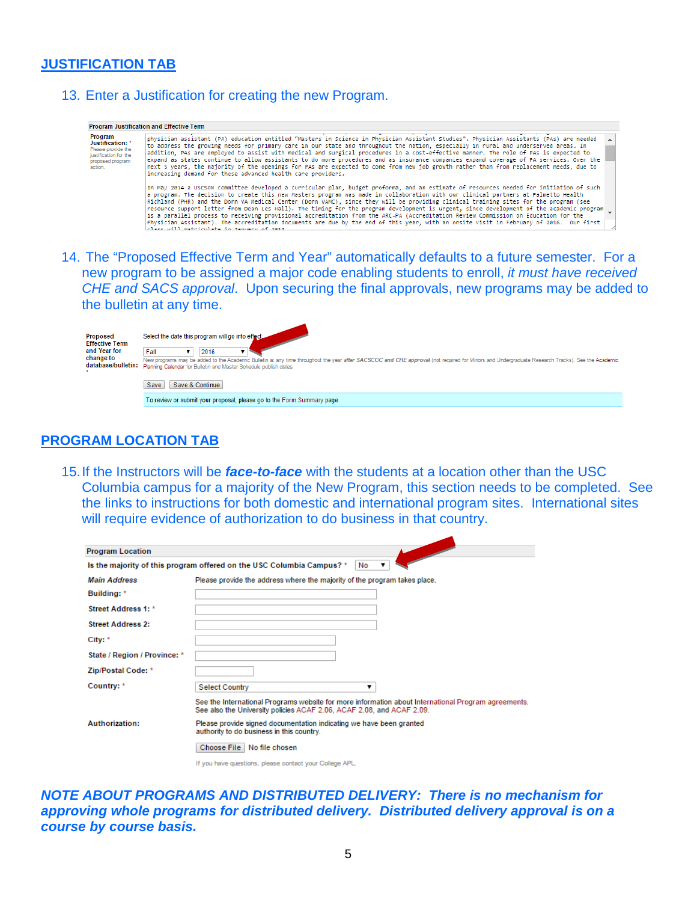# **JUSTIFICATION TAB**

13. Enter a Justification for creating the new Program.

| Program<br>Justification: *<br>Please provide the<br>justification for the<br>proposed program<br>sction. | physician assistant (PA) education entitled "Masters in Science in Physician Assistant Studies". Physician Assistants (PAs) are needed<br>to address the growing needs for primary care in our state and throughout the nation, especially in rural and underserved areas. In<br>addition, PAs are employed to assist with medical and surgical procedures in a cost-effective manner. The role of PAs is expected to<br>expand as states continue to allow assistants to do more procedures and as insurance companies expand coverage of PA services. Over the<br>next 5 years, the majority of the openings for PAs are expected to come from new job growth rather than from replacement needs, due to<br>increasing demand for these advanced health care providers.                                                                                                                      |  |
|-----------------------------------------------------------------------------------------------------------|------------------------------------------------------------------------------------------------------------------------------------------------------------------------------------------------------------------------------------------------------------------------------------------------------------------------------------------------------------------------------------------------------------------------------------------------------------------------------------------------------------------------------------------------------------------------------------------------------------------------------------------------------------------------------------------------------------------------------------------------------------------------------------------------------------------------------------------------------------------------------------------------|--|
|                                                                                                           | In May 2014 a USCSOM committee developed a curricular plan, budget proforma, and an estimate of resources needed for initiation of such<br>a program. The decision to create this new Masters program was made in collaboration with our clinical partners at Palmetto Health<br>Richland (PHR) and the Dorn VA Medical Center (Dorn VAMC), since they will be providing clinical training sites for the program (see<br>resource support letter from Dean Les Hall). The timing for the program development is urgent, since development of the academic program<br>is a parallel process to receiving provisional accreditation from the ARC-PA (Accreditation Review Commission on Education for the<br>Physician Assistant). The accreditation documents are due by the end of this year, with an onsite visit in February of 2016. Our first<br>class will matriculate in January of 2017 |  |

new program to be assigned a major code enabling students to enroll, *it must have received CHE and SACS approval*. Upon securing the final approvals, new programs may be added to the bulletin at any time.

| Proposed<br><b>Effective Term</b>               | Select the date this program will go into effect                                                                                                                                                                                                                                     |
|-------------------------------------------------|--------------------------------------------------------------------------------------------------------------------------------------------------------------------------------------------------------------------------------------------------------------------------------------|
| and Year for<br>change to<br>database/bulletin: | Fall<br>2016<br>New programs may be added to the Academic Bulletin at any time throughout the year after SACSCOC and CHE approval (not required for Minors and Undergraduate Research Tracks). See the Academic<br>Planning Calendar for Bulletin and Master Schedule publish dates. |
|                                                 | Save & Continue<br>Save                                                                                                                                                                                                                                                              |
|                                                 | To review or submit your proposal, please go to the Form Summary page.                                                                                                                                                                                                               |

## **PROGRAM LOCATION TAB**

15.If the Instructors will be *face-to-face* with the students at a location other than the USC Columbia campus for a majority of the New Program, this section needs to be completed. See the links to instructions for both domestic and international program sites. International sites will require evidence of authorization to do business in that country.

| <b>Program Location</b>      |                                                                                                                                                                              |
|------------------------------|------------------------------------------------------------------------------------------------------------------------------------------------------------------------------|
|                              | Is the majority of this program offered on the USC Columbia Campus? *<br>$\mathbf{v}$<br>No                                                                                  |
| <b>Main Address</b>          | Please provide the address where the majority of the program takes place.                                                                                                    |
| Building: *                  |                                                                                                                                                                              |
| Street Address 1: *          |                                                                                                                                                                              |
| <b>Street Address 2:</b>     |                                                                                                                                                                              |
| City: *                      |                                                                                                                                                                              |
| State / Region / Province: * |                                                                                                                                                                              |
| Zip/Postal Code: *           |                                                                                                                                                                              |
| Country: *                   | <b>Select Country</b><br>▼                                                                                                                                                   |
|                              | See the International Programs website for more information about International Program agreements.<br>See also the University policies ACAF 2.06, ACAF 2.08, and ACAF 2.09. |
| <b>Authorization:</b>        | Please provide signed documentation indicating we have been granted<br>authority to do business in this country.                                                             |
|                              | Choose File   No file chosen                                                                                                                                                 |
|                              | If you have questions, please contact your College APL.                                                                                                                      |

*NOTE ABOUT PROGRAMS AND DISTRIBUTED DELIVERY: There is no mechanism for approving whole programs for distributed delivery. Distributed delivery approval is on a course by course basis.*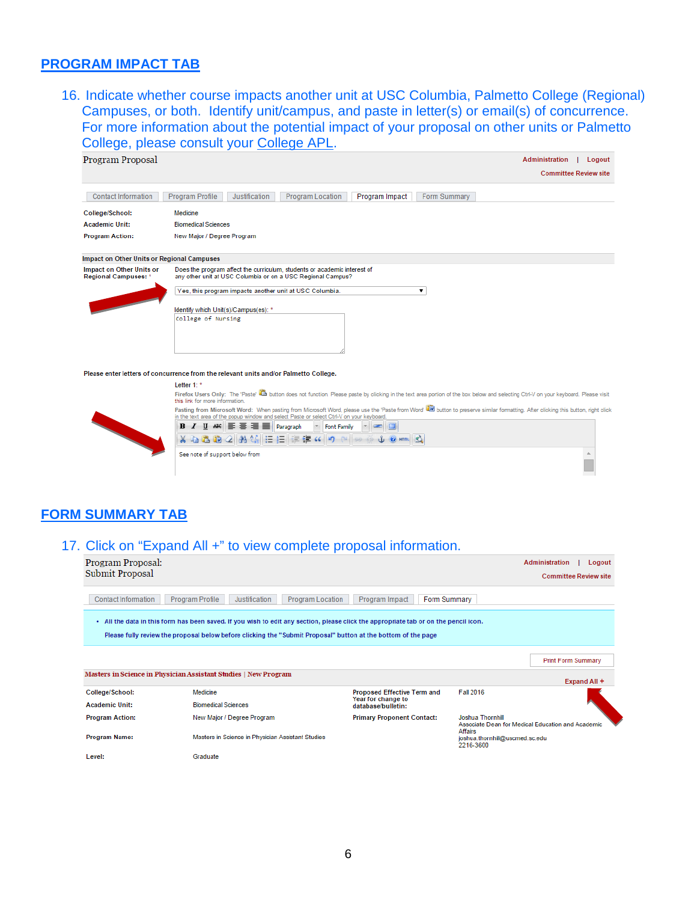## **PROGRAM IMPACT TAB**

16. Indicate whether course impacts another unit at USC Columbia, Palmetto College (Regional) Campuses, or both. Identify unit/campus, and paste in letter(s) or email(s) of concurrence. For more information about the potential impact of your proposal on other units or Palmetto College, please consult your [College](http://www.sc.edu/provost/acadprog/contacts/index.shtml) APL.



#### Please enter letters of concurrence from the relevant units and/or Palmetto College.

Letter 1:  $*$ 

Firefox Users Only: The 'Paste' (2) button does not function. Please paste by clicking in the text area portion of the box below and selecting Ctrl-V on your keyboard. Please visit this link for more in



# **FORM SUMMARY TAB**

### 17. Click on "Expand All +" to view complete proposal information.

| Program Proposal:          |                                                                                                                                                                                                                                                       |                                                                                |                                             | <b>Administration</b><br>Logout                   |
|----------------------------|-------------------------------------------------------------------------------------------------------------------------------------------------------------------------------------------------------------------------------------------------------|--------------------------------------------------------------------------------|---------------------------------------------|---------------------------------------------------|
| Submit Proposal            |                                                                                                                                                                                                                                                       |                                                                                |                                             | <b>Committee Review site</b>                      |
| <b>Contact Information</b> | <b>Program Profile</b><br>Justification<br><b>Program Location</b>                                                                                                                                                                                    | Program Impact<br><b>Form Summary</b>                                          |                                             |                                                   |
|                            | . All the data in this form has been saved. If you wish to edit any section, please click the appropriate tab or on the pencil icon.<br>Please fully review the proposal below before clicking the "Submit Proposal" button at the bottom of the page |                                                                                |                                             |                                                   |
|                            |                                                                                                                                                                                                                                                       |                                                                                |                                             | <b>Print Form Summary</b>                         |
|                            | Masters in Science in Physician Assistant Studies   New Program                                                                                                                                                                                       |                                                                                |                                             | Expand All +                                      |
| College/School:            | Medicine                                                                                                                                                                                                                                              | Proposed Effective Term and                                                    | <b>Fall 2016</b>                            |                                                   |
| <b>Academic Unit:</b>      | <b>Biomedical Sciences</b>                                                                                                                                                                                                                            | Year for change to<br>database/bulletin:                                       |                                             |                                                   |
| <b>Program Action:</b>     | New Major / Degree Program                                                                                                                                                                                                                            | <b>Joshua Thornhill</b><br><b>Primary Proponent Contact:</b><br><b>Affairs</b> |                                             | Associate Dean for Medical Education and Academic |
| Program Name:              | Masters in Science in Physician Assistant Studies                                                                                                                                                                                                     |                                                                                | joshua.thornhill@uscmed.sc.edu<br>2216-3600 |                                                   |
| Level <sup>.</sup>         | Graduate                                                                                                                                                                                                                                              |                                                                                |                                             |                                                   |

6